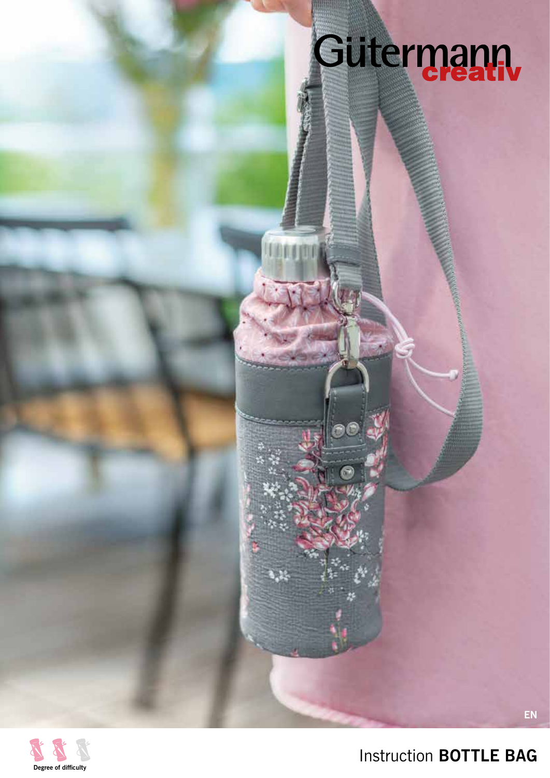# Gutermann

TOMON



Instruction **BOTTLE BAG**

**EN**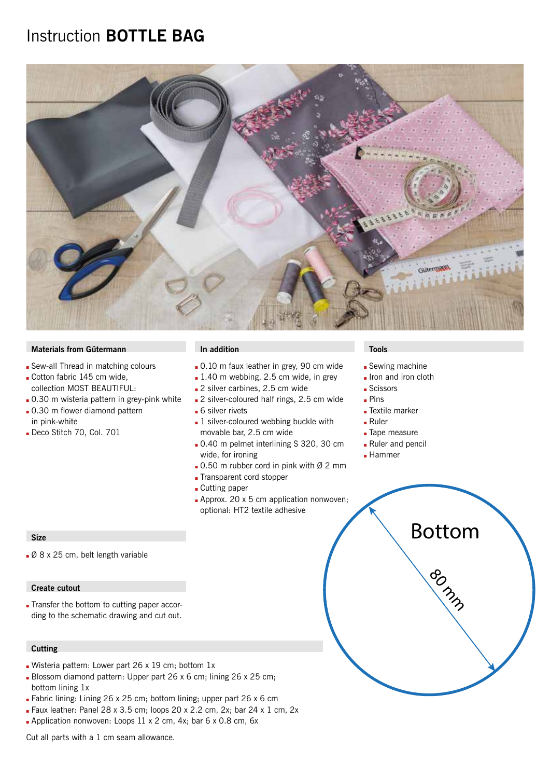## Instruction **BOTTLE BAG**



#### **Materials from Gütermann In addition In addition In addition In the Install of Tools**

- Sew-all Thread in matching colours
- Cotton fabric 145 cm wide, collection MOST BEAUTIFUL:
- . 0.30 m wisteria pattern in grey-pink white
- .0.30 m flower diamond pattern in pink-white
- Deco Stitch 70, Col. 701

- $\blacksquare$  0.10 m faux leather in grey, 90 cm wide
- $\blacksquare$  1.40 m webbing, 2.5 cm wide, in grey
- 2 silver carbines, 2.5 cm wide
- 2 silver-coloured half rings, 2.5 cm wide
- 6 silver rivets
- $\blacksquare$  1 silver-coloured webbing buckle with movable bar, 2.5 cm wide
- <sup>Q</sup> 0.40 m pelmet interlining S 320, 30 cm wide, for ironing
- $\Box$  0.50 m rubber cord in pink with Ø 2 mm
- Transparent cord stopper
- **Cutting paper**
- $\blacksquare$  Approx. 20 x 5 cm application nonwoven; optional: HT2 textile adhesive

#### **Size**

■ Ø 8 x 25 cm, belt length variable

#### **Create cutout**

Transfer the bottom to cutting paper according to the schematic drawing and cut out.

#### **Cutting**

- Wisteria pattern: Lower part 26 x 19 cm; bottom  $1x$
- Blossom diamond pattern: Upper part 26 x 6 cm; lining 26 x 25 cm; bottom lining 1x
- **Eabric lining: Lining 26 x 25 cm; bottom lining; upper part 26 x 6 cm**
- $\blacksquare$  Faux leather: Panel 28 x 3.5 cm; loops 20 x 2.2 cm, 2x; bar 24 x 1 cm, 2x
- $\blacktriangle$  Application nonwoven: Loops 11 x 2 cm, 4x; bar 6 x 0.8 cm, 6x

Cut all parts with a 1 cm seam allowance.

- $\blacksquare$  Sewing machine
- Iron and iron cloth
- Scissors
- $Pins$
- **Textile marker**
- $Ruler$
- **Tape measure**
- **Ruler and pencil**

80 mm

Bottom

**Hammer**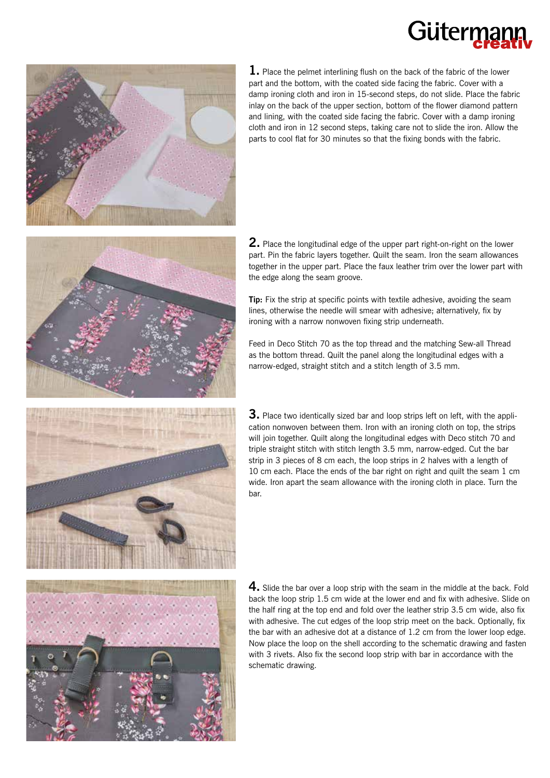# Gütern



**1.** Place the pelmet interlining flush on the back of the fabric of the lower part and the bottom, with the coated side facing the fabric. Cover with a damp ironing cloth and iron in 15-second steps, do not slide. Place the fabric inlay on the back of the upper section, bottom of the flower diamond pattern and lining, with the coated side facing the fabric. Cover with a damp ironing cloth and iron in 12 second steps, taking care not to slide the iron. Allow the parts to cool flat for 30 minutes so that the fixing bonds with the fabric.

**2.** Place the longitudinal edge of the upper part right-on-right on the lower part. Pin the fabric layers together. Quilt the seam. Iron the seam allowances together in the upper part. Place the faux leather trim over the lower part with the edge along the seam groove.

**Tip:** Fix the strip at specific points with textile adhesive, avoiding the seam lines, otherwise the needle will smear with adhesive; alternatively, fix by ironing with a narrow nonwoven fixing strip underneath.

Feed in Deco Stitch 70 as the top thread and the matching Sew-all Thread as the bottom thread. Quilt the panel along the longitudinal edges with a narrow-edged, straight stitch and a stitch length of 3.5 mm.

**3.** Place two identically sized bar and loop strips left on left, with the application nonwoven between them. Iron with an ironing cloth on top, the strips will join together. Quilt along the longitudinal edges with Deco stitch 70 and triple straight stitch with stitch length 3.5 mm, narrow-edged. Cut the bar strip in 3 pieces of 8 cm each, the loop strips in 2 halves with a length of 10 cm each. Place the ends of the bar right on right and quilt the seam 1 cm wide. Iron apart the seam allowance with the ironing cloth in place. Turn the bar.

**4.** Slide the bar over a loop strip with the seam in the middle at the back. Fold back the loop strip 1.5 cm wide at the lower end and fix with adhesive. Slide on the half ring at the top end and fold over the leather strip 3.5 cm wide, also fix with adhesive. The cut edges of the loop strip meet on the back. Optionally, fix the bar with an adhesive dot at a distance of 1.2 cm from the lower loop edge. Now place the loop on the shell according to the schematic drawing and fasten with 3 rivets. Also fix the second loop strip with bar in accordance with the schematic drawing.